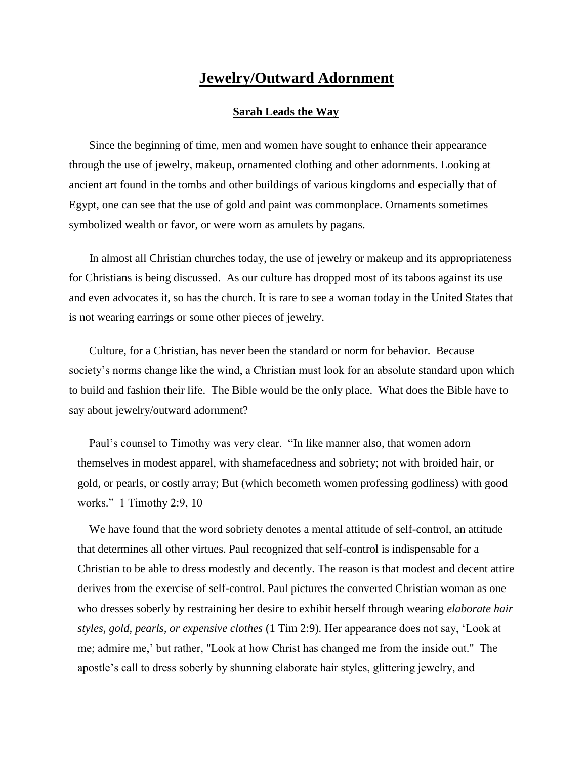## **Jewelry/Outward Adornment**

## **Sarah Leads the Way**

 Since the beginning of time, men and women have sought to enhance their appearance through the use of jewelry, makeup, ornamented clothing and other adornments. Looking at ancient art found in the tombs and other buildings of various kingdoms and especially that of Egypt, one can see that the use of gold and paint was commonplace. Ornaments sometimes symbolized wealth or favor, or were worn as amulets by pagans.

 In almost all Christian churches today, the use of jewelry or makeup and its appropriateness for Christians is being discussed. As our culture has dropped most of its taboos against its use and even advocates it, so has the church. It is rare to see a woman today in the United States that is not wearing earrings or some other pieces of jewelry.

 Culture, for a Christian, has never been the standard or norm for behavior. Because society's norms change like the wind, a Christian must look for an absolute standard upon which to build and fashion their life. The Bible would be the only place. What does the Bible have to say about jewelry/outward adornment?

 Paul's counsel to Timothy was very clear. "In like manner also, that women adorn themselves in modest apparel, with shamefacedness and sobriety; not with broided hair, or gold, or pearls, or costly array; But (which becometh women professing godliness) with good works." 1 Timothy 2:9, 10

 We have found that the word sobriety denotes a mental attitude of self-control, an attitude that determines all other virtues. Paul recognized that self-control is indispensable for a Christian to be able to dress modestly and decently. The reason is that modest and decent attire derives from the exercise of self-control. Paul pictures the converted Christian woman as one who dresses soberly by restraining her desire to exhibit herself through wearing *elaborate hair styles, gold, pearls, or expensive clothes* (1 Tim 2:9)*.* Her appearance does not say, 'Look at me; admire me,' but rather, "Look at how Christ has changed me from the inside out." The apostle's call to dress soberly by shunning elaborate hair styles, glittering jewelry, and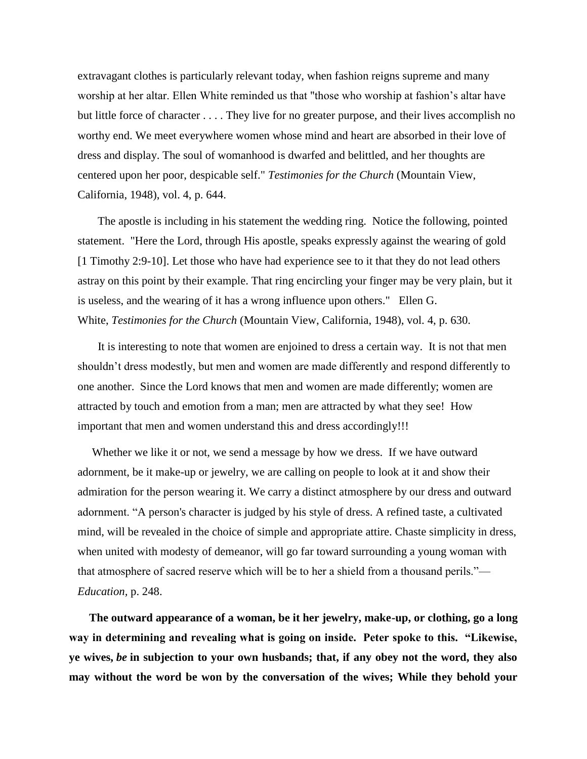extravagant clothes is particularly relevant today, when fashion reigns supreme and many worship at her altar. Ellen White reminded us that "those who worship at fashion's altar have but little force of character . . . . They live for no greater purpose, and their lives accomplish no worthy end. We meet everywhere women whose mind and heart are absorbed in their love of dress and display. The soul of womanhood is dwarfed and belittled, and her thoughts are centered upon her poor, despicable self." *Testimonies for the Church* (Mountain View, California, 1948), vol. 4, p. 644.

 The apostle is including in his statement the wedding ring. Notice the following, pointed statement. "Here the Lord, through His apostle, speaks expressly against the wearing of gold [1 Timothy 2:9-10]. Let those who have had experience see to it that they do not lead others astray on this point by their example. That ring encircling your finger may be very plain, but it is useless, and the wearing of it has a wrong influence upon others." Ellen G. White, *Testimonies for the Church* (Mountain View, California, 1948), vol. 4, p. 630.

 It is interesting to note that women are enjoined to dress a certain way. It is not that men shouldn't dress modestly, but men and women are made differently and respond differently to one another. Since the Lord knows that men and women are made differently; women are attracted by touch and emotion from a man; men are attracted by what they see! How important that men and women understand this and dress accordingly!!!

 Whether we like it or not, we send a message by how we dress. If we have outward adornment, be it make-up or jewelry, we are calling on people to look at it and show their admiration for the person wearing it. We carry a distinct atmosphere by our dress and outward adornment. "A person's character is judged by his style of dress. A refined taste, a cultivated mind, will be revealed in the choice of simple and appropriate attire. Chaste simplicity in dress, when united with modesty of demeanor, will go far toward surrounding a young woman with that atmosphere of sacred reserve which will be to her a shield from a thousand perils."— *Education,* p. 248.

 **The outward appearance of a woman, be it her jewelry, make-up, or clothing, go a long way in determining and revealing what is going on inside. Peter spoke to this. "Likewise, ye wives,** *be* **in subjection to your own husbands; that, if any obey not the word, they also may without the word be won by the conversation of the wives; While they behold your**